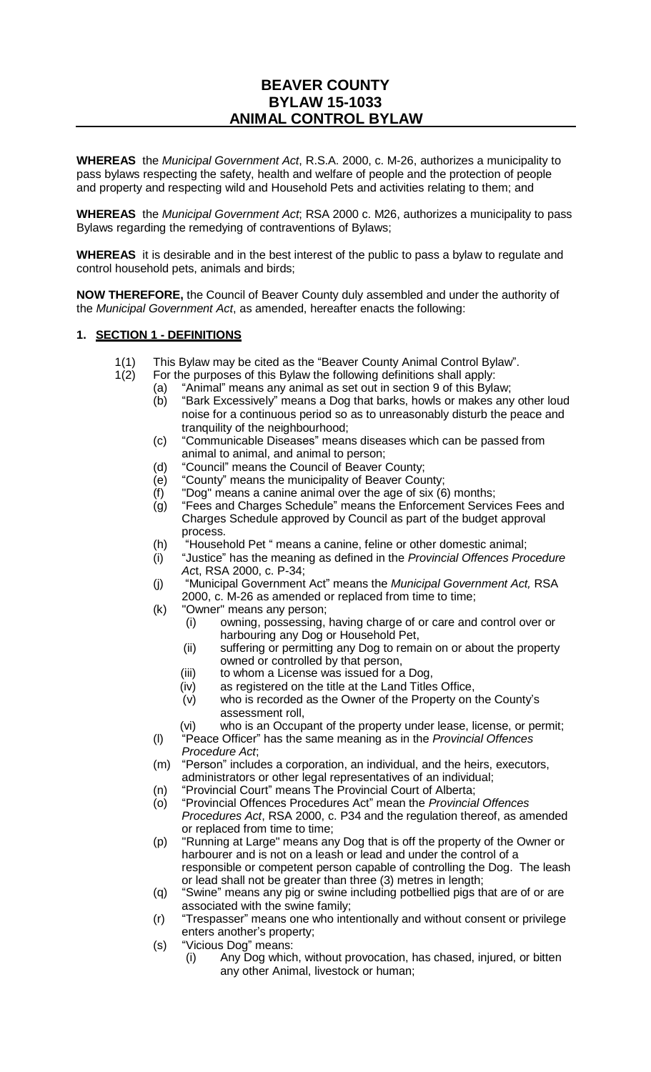# **BEAVER COUNTY BYLAW 15-1033 ANIMAL CONTROL BYLAW**

**WHEREAS** the *Municipal Government Act*, R.S.A. 2000, c. M-26, authorizes a municipality to pass bylaws respecting the safety, health and welfare of people and the protection of people and property and respecting wild and Household Pets and activities relating to them; and

**WHEREAS** the *Municipal Government Act*; RSA 2000 c. M26, authorizes a municipality to pass Bylaws regarding the remedying of contraventions of Bylaws;

**WHEREAS** it is desirable and in the best interest of the public to pass a bylaw to regulate and control household pets, animals and birds;

**NOW THEREFORE,** the Council of Beaver County duly assembled and under the authority of the *Municipal Government Act*, as amended, hereafter enacts the following:

#### **1. SECTION 1 - DEFINITIONS**

- 1(1) This Bylaw may be cited as the "Beaver County Animal Control Bylaw".
- 1(2) For the purposes of this Bylaw the following definitions shall apply:
	- (a) "Animal" means any animal as set out in section 9 of this Bylaw;
		- (b) "Bark Excessively" means a Dog that barks, howls or makes any other loud noise for a continuous period so as to unreasonably disturb the peace and tranquility of the neighbourhood;
		- (c) "Communicable Diseases" means diseases which can be passed from animal to animal, and animal to person;
		- (d) "Council" means the Council of Beaver County;
		- (e) "County" means the municipality of Beaver County;
		- (f) "Dog" means a canine animal over the age of six (6) months;
		- (g) "Fees and Charges Schedule" means the Enforcement Services Fees and Charges Schedule approved by Council as part of the budget approval process.
		- (h) "Household Pet " means a canine, feline or other domestic animal;
		- (i) "Justice" has the meaning as defined in the *Provincial Offences Procedure Ac*t, RSA 2000, c. P-34;
		- (j) "Municipal Government Act" means the *Municipal Government Act,* RSA 2000, c. M-26 as amended or replaced from time to time;
		- (k) "Owner" means any person;
			- (i) owning, possessing, having charge of or care and control over or harbouring any Dog or Household Pet,
			- (ii) suffering or permitting any Dog to remain on or about the property owned or controlled by that person,
			- (iii) to whom a License was issued for a Dog,
			- (iv) as registered on the title at the Land Titles Office,
			- (v) who is recorded as the Owner of the Property on the County's assessment roll,
			- (vi) who is an Occupant of the property under lease, license, or permit;
		- (l) "Peace Officer" has the same meaning as in the *Provincial Offences Procedure Act*;
		- (m) "Person" includes a corporation, an individual, and the heirs, executors, administrators or other legal representatives of an individual;
		- (n) "Provincial Court" means The Provincial Court of Alberta;
		- (o) "Provincial Offences Procedures Act" mean the *Provincial Offences Procedures Act*, RSA 2000, c. P34 and the regulation thereof, as amended or replaced from time to time;
		- (p) "Running at Large" means any Dog that is off the property of the Owner or harbourer and is not on a leash or lead and under the control of a responsible or competent person capable of controlling the Dog. The leash or lead shall not be greater than three (3) metres in length;
		- (q) "Swine" means any pig or swine including potbellied pigs that are of or are associated with the swine family;
		- (r) "Trespasser" means one who intentionally and without consent or privilege enters another's property;
		- (s) "Vicious Dog" means:
			- (i) Any Dog which, without provocation, has chased, injured, or bitten any other Animal, livestock or human;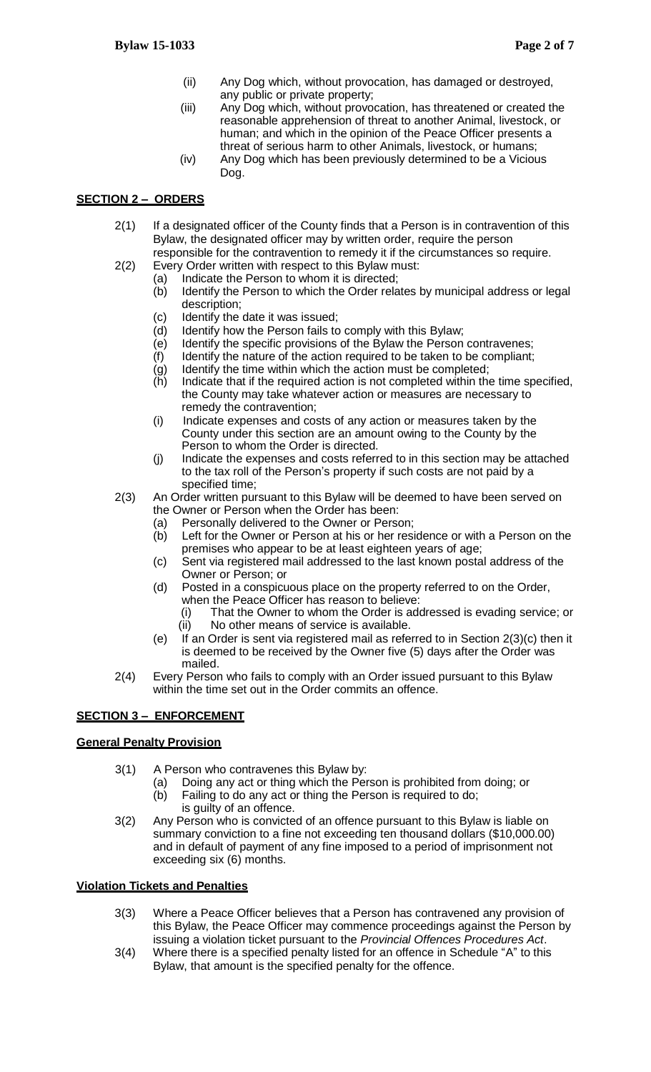- (ii) Any Dog which, without provocation, has damaged or destroyed, any public or private property;
- (iii) Any Dog which, without provocation, has threatened or created the reasonable apprehension of threat to another Animal, livestock, or human; and which in the opinion of the Peace Officer presents a threat of serious harm to other Animals, livestock, or humans;
- (iv) Any Dog which has been previously determined to be a Vicious Dog.

# **SECTION 2 – ORDERS**

- 2(1) If a designated officer of the County finds that a Person is in contravention of this Bylaw, the designated officer may by written order, require the person responsible for the contravention to remedy it if the circumstances so require.
- 2(2) Every Order written with respect to this Bylaw must:
	- (a) Indicate the Person to whom it is directed;
		- (b) Identify the Person to which the Order relates by municipal address or legal description;
		- (c) Identify the date it was issued;
		- (d) Identify how the Person fails to comply with this Bylaw;
		- (e) Identify the specific provisions of the Bylaw the Person contravenes;
		- (f) Identify the nature of the action required to be taken to be compliant;
		- (g) Identify the time within which the action must be completed;
		- Indicate that if the required action is not completed within the time specified, the County may take whatever action or measures are necessary to remedy the contravention;
		- (i) Indicate expenses and costs of any action or measures taken by the County under this section are an amount owing to the County by the Person to whom the Order is directed.
		- (j) Indicate the expenses and costs referred to in this section may be attached to the tax roll of the Person's property if such costs are not paid by a specified time;
- 2(3) An Order written pursuant to this Bylaw will be deemed to have been served on the Owner or Person when the Order has been:
	- (a) Personally delivered to the Owner or Person;
	- (b) Left for the Owner or Person at his or her residence or with a Person on the premises who appear to be at least eighteen years of age;
	- (c) Sent via registered mail addressed to the last known postal address of the Owner or Person; or
	- (d) Posted in a conspicuous place on the property referred to on the Order, when the Peace Officer has reason to believe:
		- (i) That the Owner to whom the Order is addressed is evading service; or (ii) No other means of service is available.
	- (e) If an Order is sent via registered mail as referred to in Section  $2(3)(c)$  then it is deemed to be received by the Owner five (5) days after the Order was mailed.
- 2(4) Every Person who fails to comply with an Order issued pursuant to this Bylaw within the time set out in the Order commits an offence.

# **SECTION 3 – ENFORCEMENT**

# **General Penalty Provision**

- 3(1) A Person who contravenes this Bylaw by:
	- (a) Doing any act or thing which the Person is prohibited from doing; or
	- (b) Failing to do any act or thing the Person is required to do;
		- is guilty of an offence.
- 3(2) Any Person who is convicted of an offence pursuant to this Bylaw is liable on summary conviction to a fine not exceeding ten thousand dollars (\$10,000.00) and in default of payment of any fine imposed to a period of imprisonment not exceeding six (6) months.

# **Violation Tickets and Penalties**

- 3(3) Where a Peace Officer believes that a Person has contravened any provision of this Bylaw, the Peace Officer may commence proceedings against the Person by issuing a violation ticket pursuant to the *Provincial Offences Procedures Act*.
- 3(4) Where there is a specified penalty listed for an offence in Schedule "A" to this Bylaw, that amount is the specified penalty for the offence.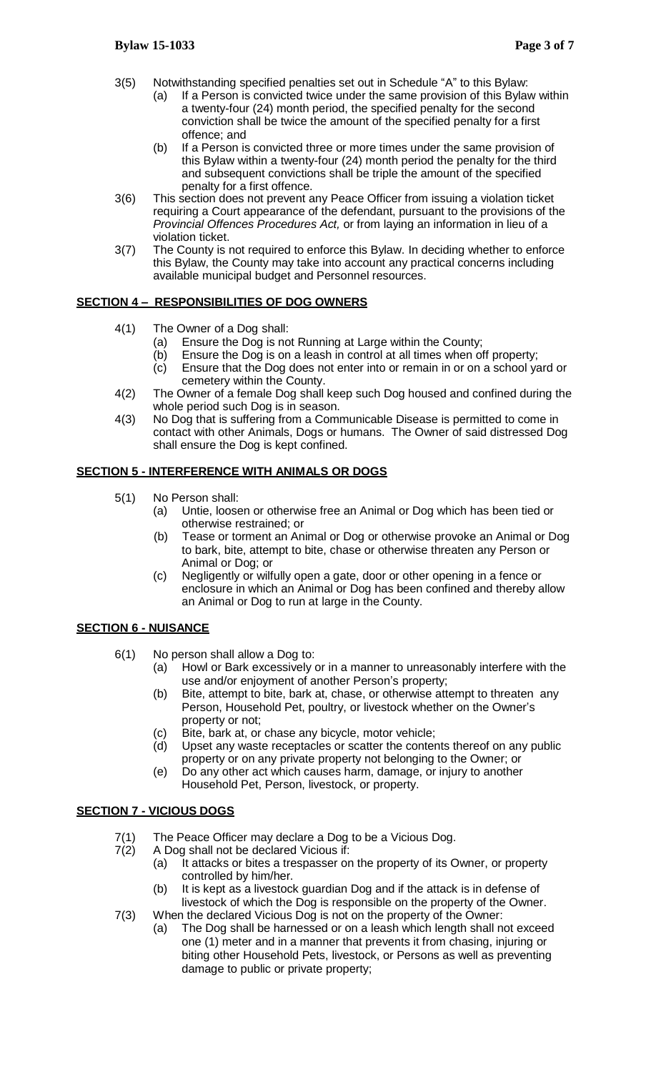- 3(5) Notwithstanding specified penalties set out in Schedule "A" to this Bylaw:
	- (a) If a Person is convicted twice under the same provision of this Bylaw within a twenty-four (24) month period, the specified penalty for the second conviction shall be twice the amount of the specified penalty for a first offence; and
	- (b) If a Person is convicted three or more times under the same provision of this Bylaw within a twenty-four (24) month period the penalty for the third and subsequent convictions shall be triple the amount of the specified penalty for a first offence.
- 3(6) This section does not prevent any Peace Officer from issuing a violation ticket requiring a Court appearance of the defendant, pursuant to the provisions of the *Provincial Offences Procedures Act,* or from laying an information in lieu of a violation ticket.
- 3(7) The County is not required to enforce this Bylaw. In deciding whether to enforce this Bylaw, the County may take into account any practical concerns including available municipal budget and Personnel resources.

### **SECTION 4 – RESPONSIBILITIES OF DOG OWNERS**

- 4(1) The Owner of a Dog shall:
	- (a) Ensure the Dog is not Running at Large within the County;
	- (b) Ensure the Dog is on a leash in control at all times when off property;
	- (c) Ensure that the Dog does not enter into or remain in or on a school yard or cemetery within the County.
- 4(2) The Owner of a female Dog shall keep such Dog housed and confined during the whole period such Dog is in season.
- 4(3) No Dog that is suffering from a Communicable Disease is permitted to come in contact with other Animals, Dogs or humans. The Owner of said distressed Dog shall ensure the Dog is kept confined.

#### **SECTION 5 - INTERFERENCE WITH ANIMALS OR DOGS**

- 5(1) No Person shall:
	- (a) Untie, loosen or otherwise free an Animal or Dog which has been tied or otherwise restrained; or
	- (b) Tease or torment an Animal or Dog or otherwise provoke an Animal or Dog to bark, bite, attempt to bite, chase or otherwise threaten any Person or Animal or Dog; or
	- (c) Negligently or wilfully open a gate, door or other opening in a fence or enclosure in which an Animal or Dog has been confined and thereby allow an Animal or Dog to run at large in the County.

#### **SECTION 6 - NUISANCE**

- 6(1) No person shall allow a Dog to:
	- (a) Howl or Bark excessively or in a manner to unreasonably interfere with the use and/or enjoyment of another Person's property;
	- (b) Bite, attempt to bite, bark at, chase, or otherwise attempt to threaten any Person, Household Pet, poultry, or livestock whether on the Owner's property or not;
	- (c) Bite, bark at, or chase any bicycle, motor vehicle;
	- (d) Upset any waste receptacles or scatter the contents thereof on any public property or on any private property not belonging to the Owner; or
	- (e) Do any other act which causes harm, damage, or injury to another Household Pet, Person, livestock, or property.

#### **SECTION 7 - VICIOUS DOGS**

- 7(1) The Peace Officer may declare a Dog to be a Vicious Dog.
- 7(2) A Dog shall not be declared Vicious if:
	- (a) It attacks or bites a trespasser on the property of its Owner, or property controlled by him/her.
	- (b) It is kept as a livestock guardian Dog and if the attack is in defense of livestock of which the Dog is responsible on the property of the Owner.
- 7(3) When the declared Vicious Dog is not on the property of the Owner:
	- (a) The Dog shall be harnessed or on a leash which length shall not exceed one (1) meter and in a manner that prevents it from chasing, injuring or biting other Household Pets, livestock, or Persons as well as preventing damage to public or private property;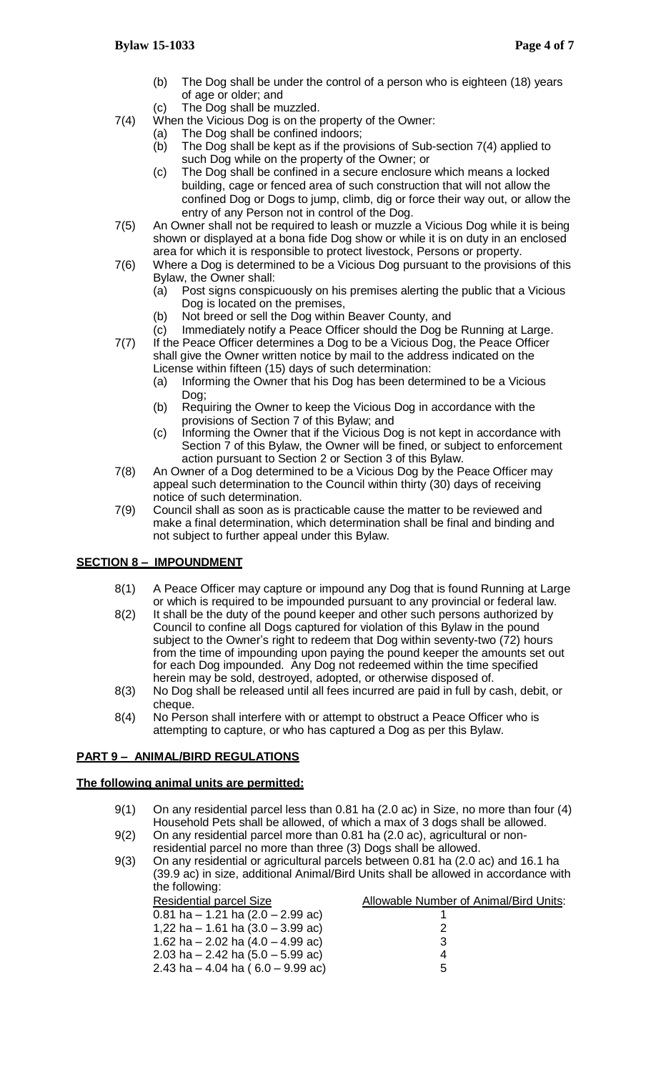- (b) The Dog shall be under the control of a person who is eighteen (18) years of age or older; and
- (c) The Dog shall be muzzled.
- 7(4) When the Vicious Dog is on the property of the Owner:
	- (a) The Dog shall be confined indoors;
	- (b) The Dog shall be kept as if the provisions of Sub-section 7(4) applied to such Dog while on the property of the Owner; or
	- (c) The Dog shall be confined in a secure enclosure which means a locked building, cage or fenced area of such construction that will not allow the confined Dog or Dogs to jump, climb, dig or force their way out, or allow the entry of any Person not in control of the Dog.
- 7(5) An Owner shall not be required to leash or muzzle a Vicious Dog while it is being shown or displayed at a bona fide Dog show or while it is on duty in an enclosed area for which it is responsible to protect livestock, Persons or property.
- 7(6) Where a Dog is determined to be a Vicious Dog pursuant to the provisions of this Bylaw, the Owner shall:
	- (a) Post signs conspicuously on his premises alerting the public that a Vicious Dog is located on the premises,
	- (b) Not breed or sell the Dog within Beaver County, and
- (c) Immediately notify a Peace Officer should the Dog be Running at Large. 7(7) If the Peace Officer determines a Dog to be a Vicious Dog, the Peace Officer shall give the Owner written notice by mail to the address indicated on the
	- License within fifteen (15) days of such determination: (a) Informing the Owner that his Dog has been determined to be a Vicious Dog;
	- (b) Requiring the Owner to keep the Vicious Dog in accordance with the provisions of Section 7 of this Bylaw; and
	- (c) Informing the Owner that if the Vicious Dog is not kept in accordance with Section 7 of this Bylaw, the Owner will be fined, or subject to enforcement action pursuant to Section 2 or Section 3 of this Bylaw.
- 7(8) An Owner of a Dog determined to be a Vicious Dog by the Peace Officer may appeal such determination to the Council within thirty (30) days of receiving notice of such determination.
- 7(9) Council shall as soon as is practicable cause the matter to be reviewed and make a final determination, which determination shall be final and binding and not subject to further appeal under this Bylaw.

# **SECTION 8 – IMPOUNDMENT**

- 8(1) A Peace Officer may capture or impound any Dog that is found Running at Large or which is required to be impounded pursuant to any provincial or federal law.
- 8(2) It shall be the duty of the pound keeper and other such persons authorized by Council to confine all Dogs captured for violation of this Bylaw in the pound subject to the Owner's right to redeem that Dog within seventy-two (72) hours from the time of impounding upon paying the pound keeper the amounts set out for each Dog impounded. Any Dog not redeemed within the time specified herein may be sold, destroyed, adopted, or otherwise disposed of.
- 8(3) No Dog shall be released until all fees incurred are paid in full by cash, debit, or cheque.
- 8(4) No Person shall interfere with or attempt to obstruct a Peace Officer who is attempting to capture, or who has captured a Dog as per this Bylaw.

# **PART 9 – ANIMAL/BIRD REGULATIONS**

#### **The following animal units are permitted:**

- 9(1) On any residential parcel less than 0.81 ha (2.0 ac) in Size, no more than four (4) Household Pets shall be allowed, of which a max of 3 dogs shall be allowed.
- 9(2) On any residential parcel more than 0.81 ha (2.0 ac), agricultural or nonresidential parcel no more than three (3) Dogs shall be allowed.
- 9(3) On any residential or agricultural parcels between 0.81 ha (2.0 ac) and 16.1 ha (39.9 ac) in size, additional Animal/Bird Units shall be allowed in accordance with the following:

| Allowable Number of Animal/Bird Units: |
|----------------------------------------|
|                                        |
|                                        |
| З                                      |
|                                        |
| 5                                      |
|                                        |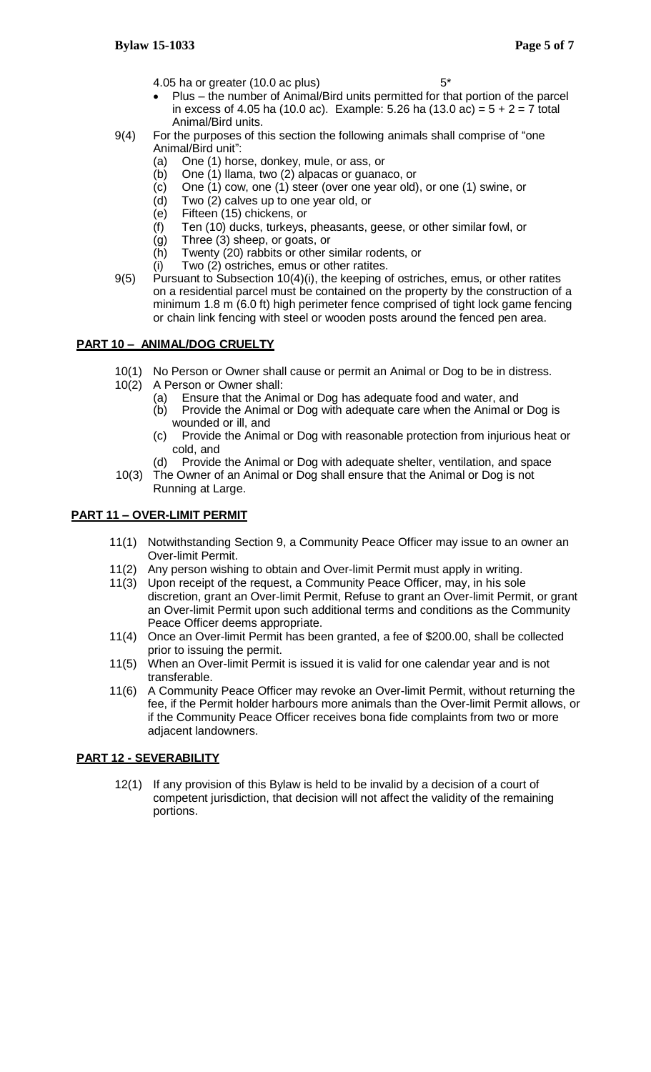- 4.05 ha or greater (10.0 ac plus) 5<sup>\*</sup>
- Plus the number of Animal/Bird units permitted for that portion of the parcel in excess of 4.05 ha (10.0 ac). Example: 5.26 ha (13.0 ac) =  $5 + 2 = 7$  total Animal/Bird units.
- 9(4) For the purposes of this section the following animals shall comprise of "one Animal/Bird unit":
	- (a) One (1) horse, donkey, mule, or ass, or
	- (b) One (1) llama, two (2) alpacas or guanaco, or
	- (c) One (1) cow, one (1) steer (over one year old), or one (1) swine, or
	- (d) Two (2) calves up to one year old, or
	- (e) Fifteen (15) chickens, or
	- (f) Ten (10) ducks, turkeys, pheasants, geese, or other similar fowl, or
	- (g) Three (3) sheep, or goats, or
	- (h) Twenty (20) rabbits or other similar rodents, or
	- (i) Two (2) ostriches, emus or other ratites.
- 9(5) Pursuant to Subsection 10(4)(i), the keeping of ostriches, emus, or other ratites on a residential parcel must be contained on the property by the construction of a minimum 1.8 m (6.0 ft) high perimeter fence comprised of tight lock game fencing or chain link fencing with steel or wooden posts around the fenced pen area.

# **PART 10 – ANIMAL/DOG CRUELTY**

- 10(1) No Person or Owner shall cause or permit an Animal or Dog to be in distress.
- 10(2) A Person or Owner shall:
	- (a) Ensure that the Animal or Dog has adequate food and water, and
	- (b) Provide the Animal or Dog with adequate care when the Animal or Dog is wounded or ill, and
	- (c) Provide the Animal or Dog with reasonable protection from injurious heat or cold, and
	- (d) Provide the Animal or Dog with adequate shelter, ventilation, and space
- 10(3) The Owner of an Animal or Dog shall ensure that the Animal or Dog is not Running at Large.

### **PART 11 – OVER-LIMIT PERMIT**

- 11(1) Notwithstanding Section 9, a Community Peace Officer may issue to an owner an Over-limit Permit.
- 11(2) Any person wishing to obtain and Over-limit Permit must apply in writing.
- 11(3) Upon receipt of the request, a Community Peace Officer, may, in his sole discretion, grant an Over-limit Permit, Refuse to grant an Over-limit Permit, or grant an Over-limit Permit upon such additional terms and conditions as the Community Peace Officer deems appropriate.
- 11(4) Once an Over-limit Permit has been granted, a fee of \$200.00, shall be collected prior to issuing the permit.
- 11(5) When an Over-limit Permit is issued it is valid for one calendar year and is not transferable.
- 11(6) A Community Peace Officer may revoke an Over-limit Permit, without returning the fee, if the Permit holder harbours more animals than the Over-limit Permit allows, or if the Community Peace Officer receives bona fide complaints from two or more adjacent landowners.

# **PART 12 - SEVERABILITY**

12(1) If any provision of this Bylaw is held to be invalid by a decision of a court of competent jurisdiction, that decision will not affect the validity of the remaining portions.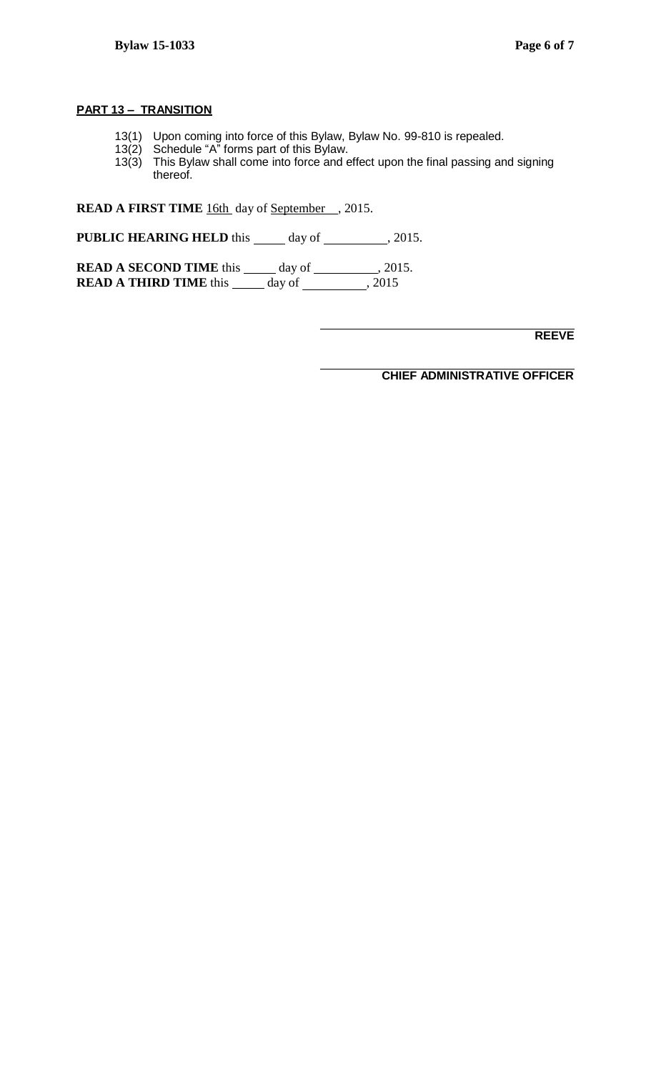#### **PART 13 – TRANSITION**

- 13(1) Upon coming into force of this Bylaw, Bylaw No. 99-810 is repealed.
- 13(2) Schedule "A" forms part of this Bylaw.
- 13(3) This Bylaw shall come into force and effect upon the final passing and signing thereof.

**READ A FIRST TIME** 16th day of September , 2015.

**PUBLIC HEARING HELD** this  $\_\_\_\_\$  day of  $\_\_\_\_\_\$ , 2015.

**READ A SECOND TIME** this \_\_\_\_\_ day of \_\_\_\_\_\_\_\_\_, 2015. **READ A THIRD TIME** this day of , 2015

**REEVE**

**CHIEF ADMINISTRATIVE OFFICER**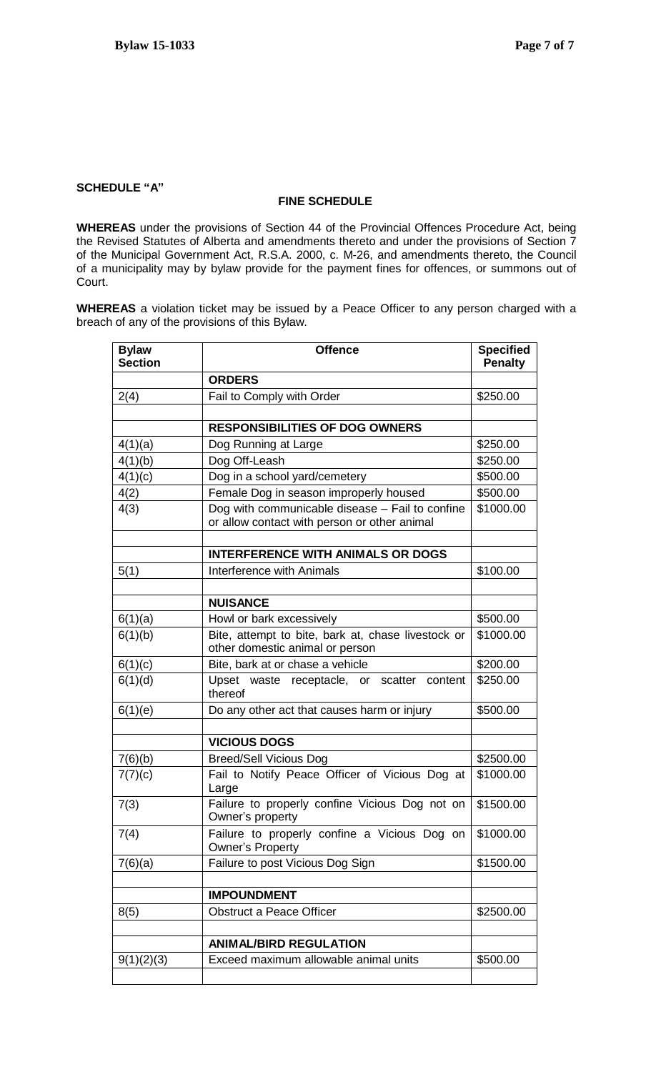### **SCHEDULE "A"**

#### **FINE SCHEDULE**

**WHEREAS** under the provisions of Section 44 of the Provincial Offences Procedure Act, being the Revised Statutes of Alberta and amendments thereto and under the provisions of Section 7 of the Municipal Government Act, R.S.A. 2000, c. M-26, and amendments thereto, the Council of a municipality may by bylaw provide for the payment fines for offences, or summons out of Court.

**WHEREAS** a violation ticket may be issued by a Peace Officer to any person charged with a breach of any of the provisions of this Bylaw.

| <b>Bylaw</b><br><b>Section</b> | <b>Offence</b>                                                                                  | <b>Specified</b><br><b>Penalty</b> |
|--------------------------------|-------------------------------------------------------------------------------------------------|------------------------------------|
|                                | <b>ORDERS</b>                                                                                   |                                    |
| 2(4)                           | Fail to Comply with Order                                                                       | \$250.00                           |
|                                |                                                                                                 |                                    |
|                                | <b>RESPONSIBILITIES OF DOG OWNERS</b>                                                           |                                    |
| 4(1)(a)                        | Dog Running at Large                                                                            | \$250.00                           |
| 4(1)(b)                        | Dog Off-Leash                                                                                   | \$250.00                           |
| 4(1)(c)                        | Dog in a school yard/cemetery                                                                   | \$500.00                           |
| 4(2)                           | Female Dog in season improperly housed                                                          | \$500.00                           |
| 4(3)                           | Dog with communicable disease - Fail to confine<br>or allow contact with person or other animal | \$1000.00                          |
|                                |                                                                                                 |                                    |
|                                | <b>INTERFERENCE WITH ANIMALS OR DOGS</b>                                                        |                                    |
| 5(1)                           | Interference with Animals                                                                       | \$100.00                           |
|                                |                                                                                                 |                                    |
|                                | <b>NUISANCE</b>                                                                                 |                                    |
| 6(1)(a)                        | Howl or bark excessively                                                                        | \$500.00                           |
| 6(1)(b)                        | Bite, attempt to bite, bark at, chase livestock or<br>other domestic animal or person           | \$1000.00                          |
| 6(1)(c)                        | Bite, bark at or chase a vehicle                                                                | \$200.00                           |
| 6(1)(d)                        | Upset waste receptacle, or scatter<br>content<br>thereof                                        | \$250.00                           |
| 6(1)(e)                        | Do any other act that causes harm or injury                                                     | \$500.00                           |
|                                |                                                                                                 |                                    |
|                                | <b>VICIOUS DOGS</b>                                                                             |                                    |
| 7(6)(b)                        | <b>Breed/Sell Vicious Dog</b>                                                                   | \$2500.00                          |
| 7(7)(c)                        | Fail to Notify Peace Officer of Vicious Dog at<br>Large                                         | \$1000.00                          |
| 7(3)                           | Failure to properly confine Vicious Dog not on<br>Owner's property                              | \$1500.00                          |
| 7(4)                           | Failure to properly confine a Vicious Dog on<br><b>Owner's Property</b>                         | \$1000.00                          |
| 7(6)(a)                        | Failure to post Vicious Dog Sign                                                                | \$1500.00                          |
|                                |                                                                                                 |                                    |
|                                | <b>IMPOUNDMENT</b>                                                                              |                                    |
| 8(5)                           | <b>Obstruct a Peace Officer</b>                                                                 | \$2500.00                          |
|                                |                                                                                                 |                                    |
|                                | <b>ANIMAL/BIRD REGULATION</b>                                                                   |                                    |
| 9(1)(2)(3)                     | Exceed maximum allowable animal units                                                           | \$500.00                           |
|                                |                                                                                                 |                                    |